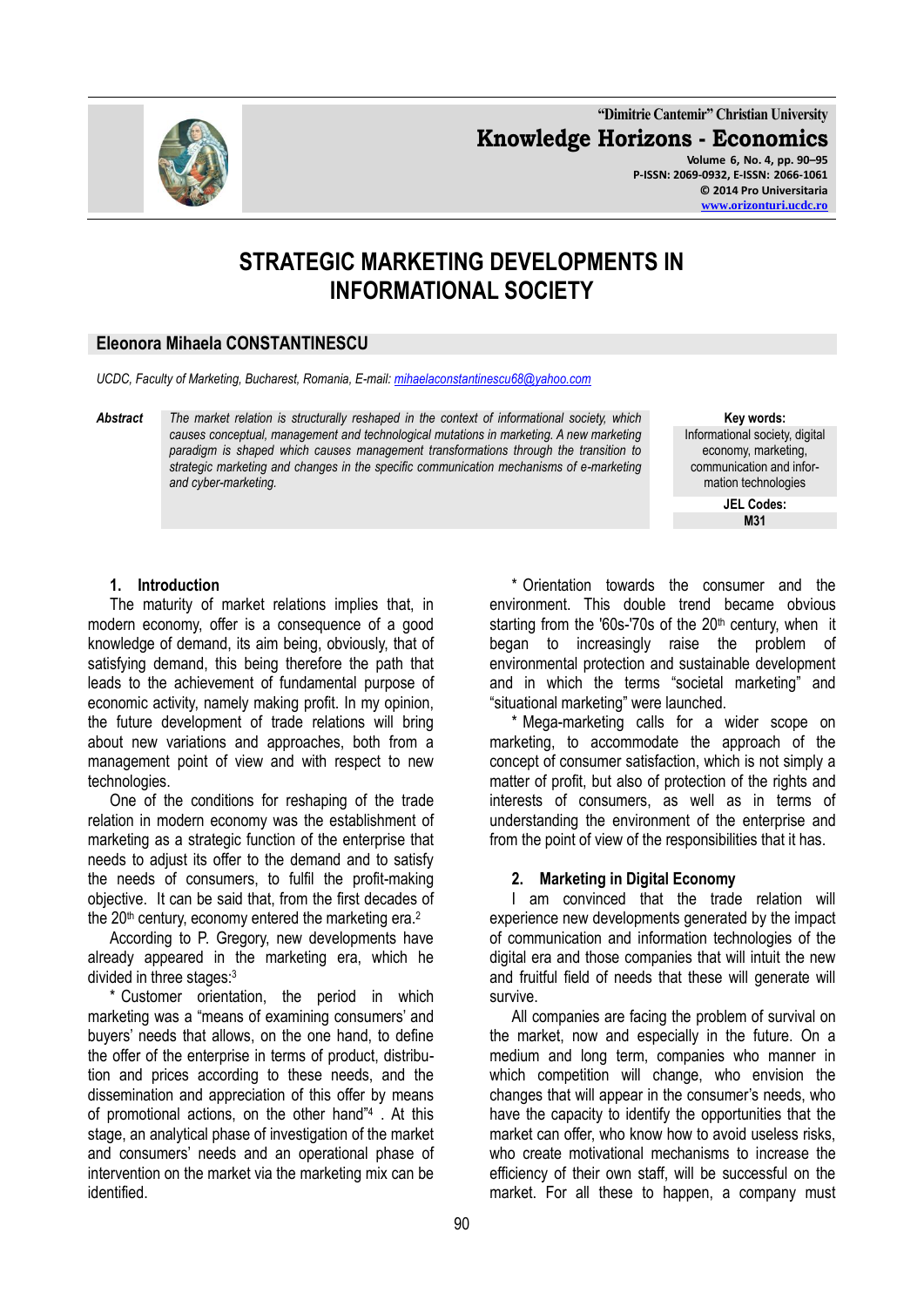**"Dimitrie Cantemir" Christian University Knowledge Horizons - Economics Volume 6, No. 4, pp. 90–95 P-ISSN: 2069-0932, E-ISSN: 2066-1061 © 2014 Pro Universitaria**

# **STRATEGIC MARKETING DEVELOPMENTS IN INFORMATIONAL SOCIETY**

# **Eleonora Mihaela CONSTANTINESCU**

*UCDC, Faculty of Marketing, Bucharest, Romania, E-mail[: mihaelaconstantinescu68@yahoo.com](mailto:mihaelaconstantinescu68@yahoo.com)*

*Abstract The market relation is structurally reshaped in the context of informational society, which causes conceptual, management and technological mutations in marketing. A new marketing paradigm is shaped which causes management transformations through the transition to strategic marketing and changes in the specific communication mechanisms of e-marketing and cyber-marketing.*

**Key words:** Informational society, digital economy, marketing, communication and information technologies

> **JEL Codes: M31**

# **1. Introduction**

The maturity of market relations implies that, in modern economy, offer is a consequence of a good knowledge of demand, its aim being, obviously, that of satisfying demand, this being therefore the path that leads to the achievement of fundamental purpose of economic activity, namely making profit. In my opinion, the future development of trade relations will bring about new variations and approaches, both from a management point of view and with respect to new technologies.

One of the conditions for reshaping of the trade relation in modern economy was the establishment of marketing as a strategic function of the enterprise that needs to adjust its offer to the demand and to satisfy the needs of consumers, to fulfil the profit-making objective. It can be said that, from the first decades of the  $20<sup>th</sup>$  century, economy entered the marketing era.<sup>2</sup>

According to P. Gregory, new developments have already appeared in the marketing era, which he divided in three stages:<sup>3</sup>

\* Customer orientation, the period in which marketing was a "means of examining consumers' and buyers' needs that allows, on the one hand, to define the offer of the enterprise in terms of product, distribution and prices according to these needs, and the dissemination and appreciation of this offer by means of promotional actions, on the other hand"<sup>4</sup> . At this stage, an analytical phase of investigation of the market and consumers' needs and an operational phase of intervention on the market via the marketing mix can be identified.

\* Orientation towards the consumer and the environment. This double trend became obvious starting from the '60s-'70s of the 20<sup>th</sup> century, when it began to increasingly raise the problem of environmental protection and sustainable development and in which the terms "societal marketing" and "situational marketing" were launched.

\* Mega-marketing calls for a wider scope on marketing, to accommodate the approach of the concept of consumer satisfaction, which is not simply a matter of profit, but also of protection of the rights and interests of consumers, as well as in terms of understanding the environment of the enterprise and from the point of view of the responsibilities that it has.

#### **2. Marketing in Digital Economy**

I am convinced that the trade relation will experience new developments generated by the impact of communication and information technologies of the digital era and those companies that will intuit the new and fruitful field of needs that these will generate will survive.

All companies are facing the problem of survival on the market, now and especially in the future. On a medium and long term, companies who manner in which competition will change, who envision the changes that will appear in the consumer's needs, who have the capacity to identify the opportunities that the market can offer, who know how to avoid useless risks. who create motivational mechanisms to increase the efficiency of their own staff, will be successful on the market. For all these to happen, a company must

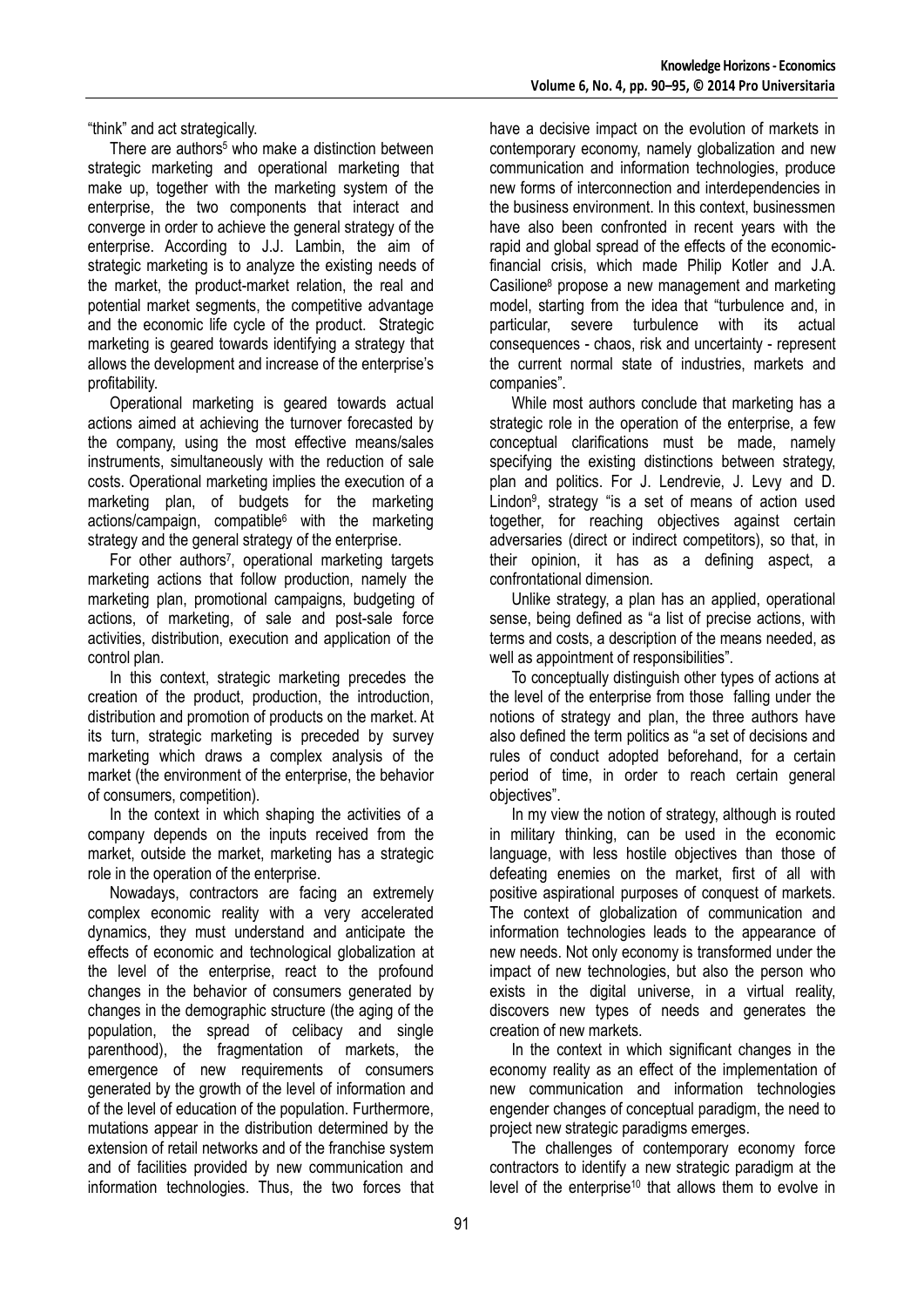"think" and act strategically.

There are authors<sup>5</sup> who make a distinction between strategic marketing and operational marketing that make up, together with the marketing system of the enterprise, the two components that interact and converge in order to achieve the general strategy of the enterprise. According to J.J. Lambin, the aim of strategic marketing is to analyze the existing needs of the market, the product-market relation, the real and potential market segments, the competitive advantage and the economic life cycle of the product. Strategic marketing is geared towards identifying a strategy that allows the development and increase of the enterprise's profitability.

Operational marketing is geared towards actual actions aimed at achieving the turnover forecasted by the company, using the most effective means/sales instruments, simultaneously with the reduction of sale costs. Operational marketing implies the execution of a marketing plan, of budgets for the marketing actions/campaign, compatible<sup>6</sup> with the marketing strategy and the general strategy of the enterprise.

For other authors<sup>7</sup>, operational marketing targets marketing actions that follow production, namely the marketing plan, promotional campaigns, budgeting of actions, of marketing, of sale and post-sale force activities, distribution, execution and application of the control plan.

In this context, strategic marketing precedes the creation of the product, production, the introduction, distribution and promotion of products on the market. At its turn, strategic marketing is preceded by survey marketing which draws a complex analysis of the market (the environment of the enterprise, the behavior of consumers, competition).

In the context in which shaping the activities of a company depends on the inputs received from the market, outside the market, marketing has a strategic role in the operation of the enterprise.

Nowadays, contractors are facing an extremely complex economic reality with a very accelerated dynamics, they must understand and anticipate the effects of economic and technological globalization at the level of the enterprise, react to the profound changes in the behavior of consumers generated by changes in the demographic structure (the aging of the population, the spread of celibacy and single parenthood), the fragmentation of markets, the emergence of new requirements of consumers generated by the growth of the level of information and of the level of education of the population. Furthermore, mutations appear in the distribution determined by the extension of retail networks and of the franchise system and of facilities provided by new communication and information technologies. Thus, the two forces that

have a decisive impact on the evolution of markets in contemporary economy, namely globalization and new communication and information technologies, produce new forms of interconnection and interdependencies in the business environment. In this context, businessmen have also been confronted in recent years with the rapid and global spread of the effects of the economicfinancial crisis, which made Philip Kotler and J.A. Casilione<sup>8</sup> propose a new management and marketing model, starting from the idea that "turbulence and, in particular, severe turbulence with its actual consequences - chaos, risk and uncertainty - represent the current normal state of industries, markets and companies".

While most authors conclude that marketing has a strategic role in the operation of the enterprise, a few conceptual clarifications must be made, namely specifying the existing distinctions between strategy, plan and politics. For J. Lendrevie, J. Levy and D. Lindon<sup>9</sup> , strategy "is a set of means of action used together, for reaching objectives against certain adversaries (direct or indirect competitors), so that, in their opinion, it has as a defining aspect, a confrontational dimension.

Unlike strategy, a plan has an applied, operational sense, being defined as "a list of precise actions, with terms and costs, a description of the means needed, as well as appointment of responsibilities".

To conceptually distinguish other types of actions at the level of the enterprise from those falling under the notions of strategy and plan, the three authors have also defined the term politics as "a set of decisions and rules of conduct adopted beforehand, for a certain period of time, in order to reach certain general objectives".

In my view the notion of strategy, although is routed in military thinking, can be used in the economic language, with less hostile objectives than those of defeating enemies on the market, first of all with positive aspirational purposes of conquest of markets. The context of globalization of communication and information technologies leads to the appearance of new needs. Not only economy is transformed under the impact of new technologies, but also the person who exists in the digital universe, in a virtual reality, discovers new types of needs and generates the creation of new markets.

In the context in which significant changes in the economy reality as an effect of the implementation of new communication and information technologies engender changes of conceptual paradigm, the need to project new strategic paradigms emerges.

The challenges of contemporary economy force contractors to identify a new strategic paradigm at the level of the enterprise<sup>10</sup> that allows them to evolve in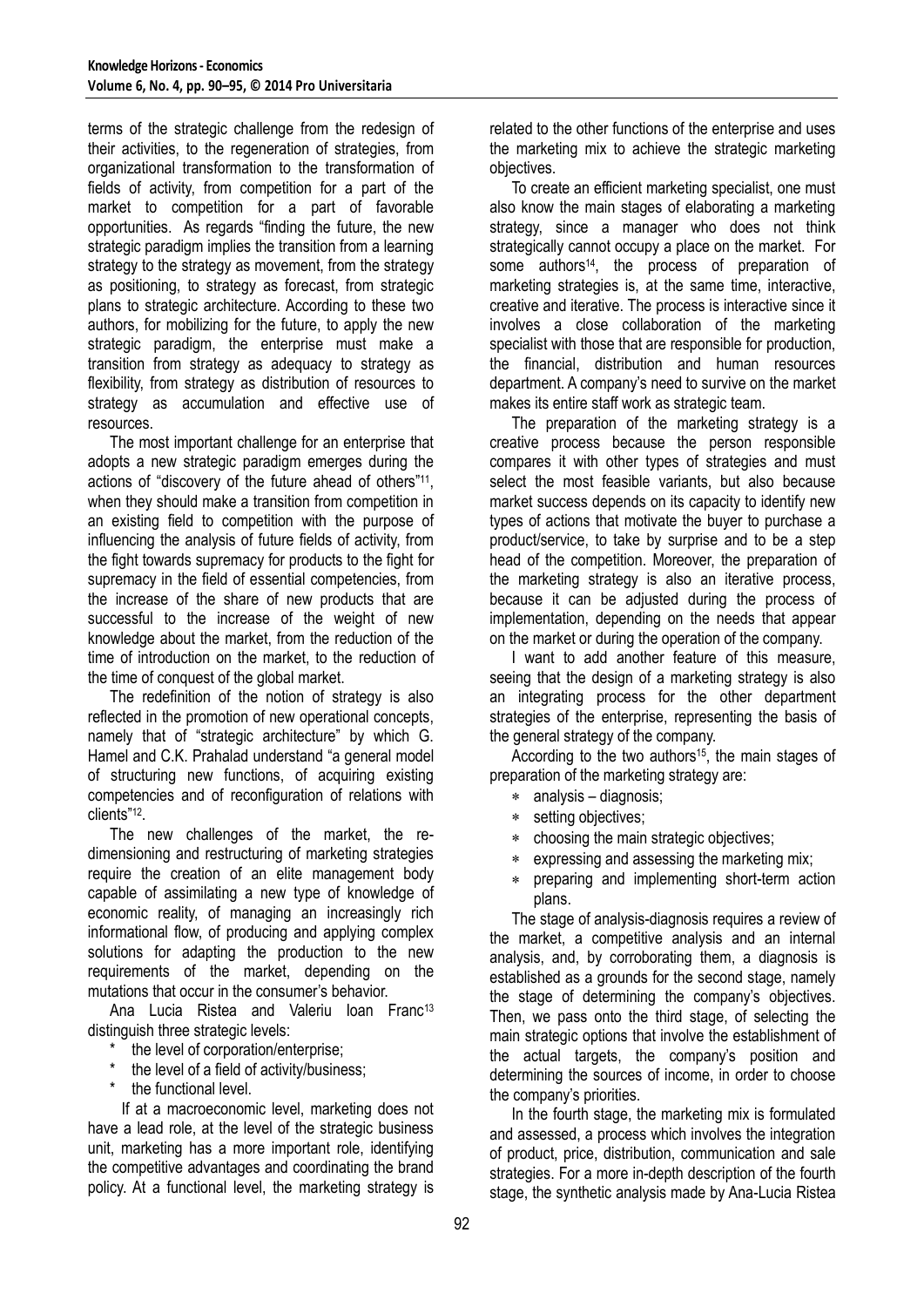terms of the strategic challenge from the redesign of their activities, to the regeneration of strategies, from organizational transformation to the transformation of fields of activity, from competition for a part of the market to competition for a part of favorable opportunities. As regards "finding the future, the new strategic paradigm implies the transition from a learning strategy to the strategy as movement, from the strategy as positioning, to strategy as forecast, from strategic plans to strategic architecture. According to these two authors, for mobilizing for the future, to apply the new strategic paradigm, the enterprise must make a transition from strategy as adequacy to strategy as flexibility, from strategy as distribution of resources to strategy as accumulation and effective use of resources.

The most important challenge for an enterprise that adopts a new strategic paradigm emerges during the actions of "discovery of the future ahead of others"<sup>11</sup> , when they should make a transition from competition in an existing field to competition with the purpose of influencing the analysis of future fields of activity, from the fight towards supremacy for products to the fight for supremacy in the field of essential competencies, from the increase of the share of new products that are successful to the increase of the weight of new knowledge about the market, from the reduction of the time of introduction on the market, to the reduction of the time of conquest of the global market.

The redefinition of the notion of strategy is also reflected in the promotion of new operational concepts, namely that of "strategic architecture" by which G. Hamel and C.K. Prahalad understand "a general model of structuring new functions, of acquiring existing competencies and of reconfiguration of relations with clients"<sup>12</sup> .

The new challenges of the market, the redimensioning and restructuring of marketing strategies require the creation of an elite management body capable of assimilating a new type of knowledge of economic reality, of managing an increasingly rich informational flow, of producing and applying complex solutions for adapting the production to the new requirements of the market, depending on the mutations that occur in the consumer's behavior.

Ana Lucia Ristea and Valeriu Ioan Franc<sup>13</sup> distinguish three strategic levels:

- the level of corporation/enterprise:
- the level of a field of activity/business;
- the functional level.

 If at a macroeconomic level, marketing does not have a lead role, at the level of the strategic business unit, marketing has a more important role, identifying the competitive advantages and coordinating the brand policy. At a functional level, the marketing strategy is

related to the other functions of the enterprise and uses the marketing mix to achieve the strategic marketing objectives.

To create an efficient marketing specialist, one must also know the main stages of elaborating a marketing strategy, since a manager who does not think strategically cannot occupy a place on the market. For some authors<sup>14</sup>, the process of preparation of marketing strategies is, at the same time, interactive, creative and iterative. The process is interactive since it involves a close collaboration of the marketing specialist with those that are responsible for production, the financial, distribution and human resources department. A company's need to survive on the market makes its entire staff work as strategic team.

The preparation of the marketing strategy is a creative process because the person responsible compares it with other types of strategies and must select the most feasible variants, but also because market success depends on its capacity to identify new types of actions that motivate the buyer to purchase a product/service, to take by surprise and to be a step head of the competition. Moreover, the preparation of the marketing strategy is also an iterative process, because it can be adjusted during the process of implementation, depending on the needs that appear on the market or during the operation of the company.

I want to add another feature of this measure, seeing that the design of a marketing strategy is also an integrating process for the other department strategies of the enterprise, representing the basis of the general strategy of the company.

According to the two authors<sup>15</sup>, the main stages of preparation of the marketing strategy are:

- analysis diagnosis;
- $*$ setting objectives;
- $\ast$ choosing the main strategic objectives;
- expressing and assessing the marketing mix;
- $\ast$ preparing and implementing short-term action plans.

The stage of analysis-diagnosis requires a review of the market, a competitive analysis and an internal analysis, and, by corroborating them, a diagnosis is established as a grounds for the second stage, namely the stage of determining the company's objectives. Then, we pass onto the third stage, of selecting the main strategic options that involve the establishment of the actual targets, the company's position and determining the sources of income, in order to choose the company's priorities.

In the fourth stage, the marketing mix is formulated and assessed, a process which involves the integration of product, price, distribution, communication and sale strategies. For a more in-depth description of the fourth stage, the synthetic analysis made by Ana-Lucia Ristea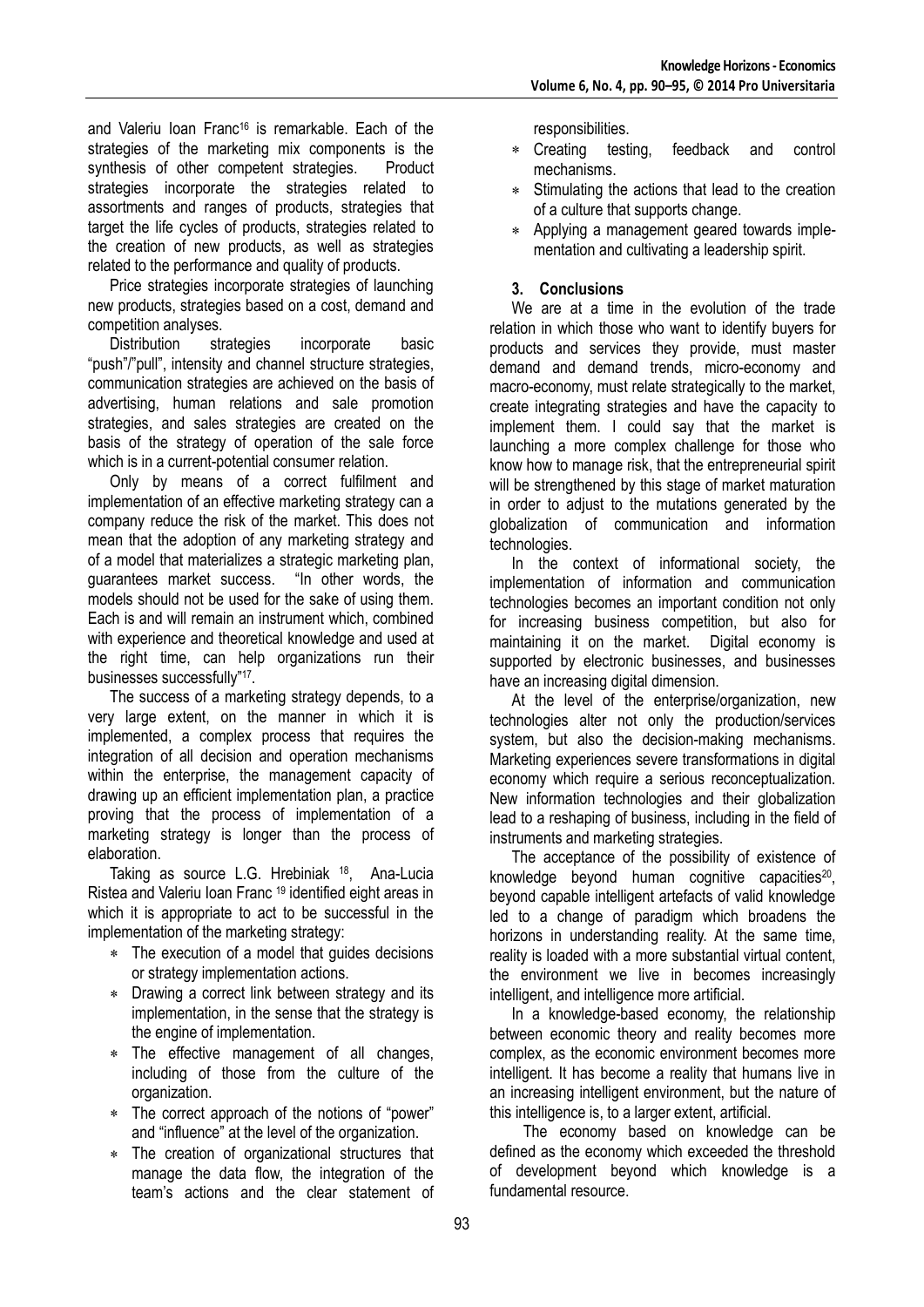and Valeriu Ioan Franc<sup>16</sup> is remarkable. Each of the strategies of the marketing mix components is the synthesis of other competent strategies. Product strategies incorporate the strategies related to assortments and ranges of products, strategies that target the life cycles of products, strategies related to the creation of new products, as well as strategies related to the performance and quality of products.

Price strategies incorporate strategies of launching new products, strategies based on a cost, demand and competition analyses.

Distribution strategies incorporate basic "push"/"pull", intensity and channel structure strategies, communication strategies are achieved on the basis of advertising, human relations and sale promotion strategies, and sales strategies are created on the basis of the strategy of operation of the sale force which is in a current-potential consumer relation.

Only by means of a correct fulfilment and implementation of an effective marketing strategy can a company reduce the risk of the market. This does not mean that the adoption of any marketing strategy and of a model that materializes a strategic marketing plan, guarantees market success. "In other words, the models should not be used for the sake of using them. Each is and will remain an instrument which, combined with experience and theoretical knowledge and used at the right time, can help organizations run their businesses successfully"<sup>17</sup> .

The success of a marketing strategy depends, to a very large extent, on the manner in which it is implemented, a complex process that requires the integration of all decision and operation mechanisms within the enterprise, the management capacity of drawing up an efficient implementation plan, a practice proving that the process of implementation of a marketing strategy is longer than the process of elaboration.

Taking as source L.G. Hrebiniak <sup>18</sup>, Ana-Lucia Ristea and Valeriu Ioan Franc <sup>19</sup> identified eight areas in which it is appropriate to act to be successful in the implementation of the marketing strategy:

- The execution of a model that guides decisions or strategy implementation actions.
- Drawing a correct link between strategy and its implementation, in the sense that the strategy is the engine of implementation.
- The effective management of all changes, including of those from the culture of the organization.
- The correct approach of the notions of "power" and "influence" at the level of the organization.
- The creation of organizational structures that  $\star$ manage the data flow, the integration of the team's actions and the clear statement of

responsibilities.

- $\ast$ Creating testing, feedback and control mechanisms.
- Stimulating the actions that lead to the creation of a culture that supports change.
- Applying a management geared towards imple- $\star$ mentation and cultivating a leadership spirit.

# **3. Conclusions**

We are at a time in the evolution of the trade relation in which those who want to identify buyers for products and services they provide, must master demand and demand trends, micro-economy and macro-economy, must relate strategically to the market, create integrating strategies and have the capacity to implement them. I could say that the market is launching a more complex challenge for those who know how to manage risk, that the entrepreneurial spirit will be strengthened by this stage of market maturation in order to adjust to the mutations generated by the globalization of communication and information technologies.

In the context of informational society, the implementation of information and communication technologies becomes an important condition not only for increasing business competition, but also for maintaining it on the market. Digital economy is supported by electronic businesses, and businesses have an increasing digital dimension.

At the level of the enterprise/organization, new technologies alter not only the production/services system, but also the decision-making mechanisms. Marketing experiences severe transformations in digital economy which require a serious reconceptualization. New information technologies and their globalization lead to a reshaping of business, including in the field of instruments and marketing strategies.

The acceptance of the possibility of existence of knowledge beyond human cognitive capacities<sup>20</sup>, beyond capable intelligent artefacts of valid knowledge led to a change of paradigm which broadens the horizons in understanding reality. At the same time, reality is loaded with a more substantial virtual content, the environment we live in becomes increasingly intelligent, and intelligence more artificial.

In a knowledge-based economy, the relationship between economic theory and reality becomes more complex, as the economic environment becomes more intelligent. It has become a reality that humans live in an increasing intelligent environment, but the nature of this intelligence is, to a larger extent, artificial.

 The economy based on knowledge can be defined as the economy which exceeded the threshold of development beyond which knowledge is a fundamental resource.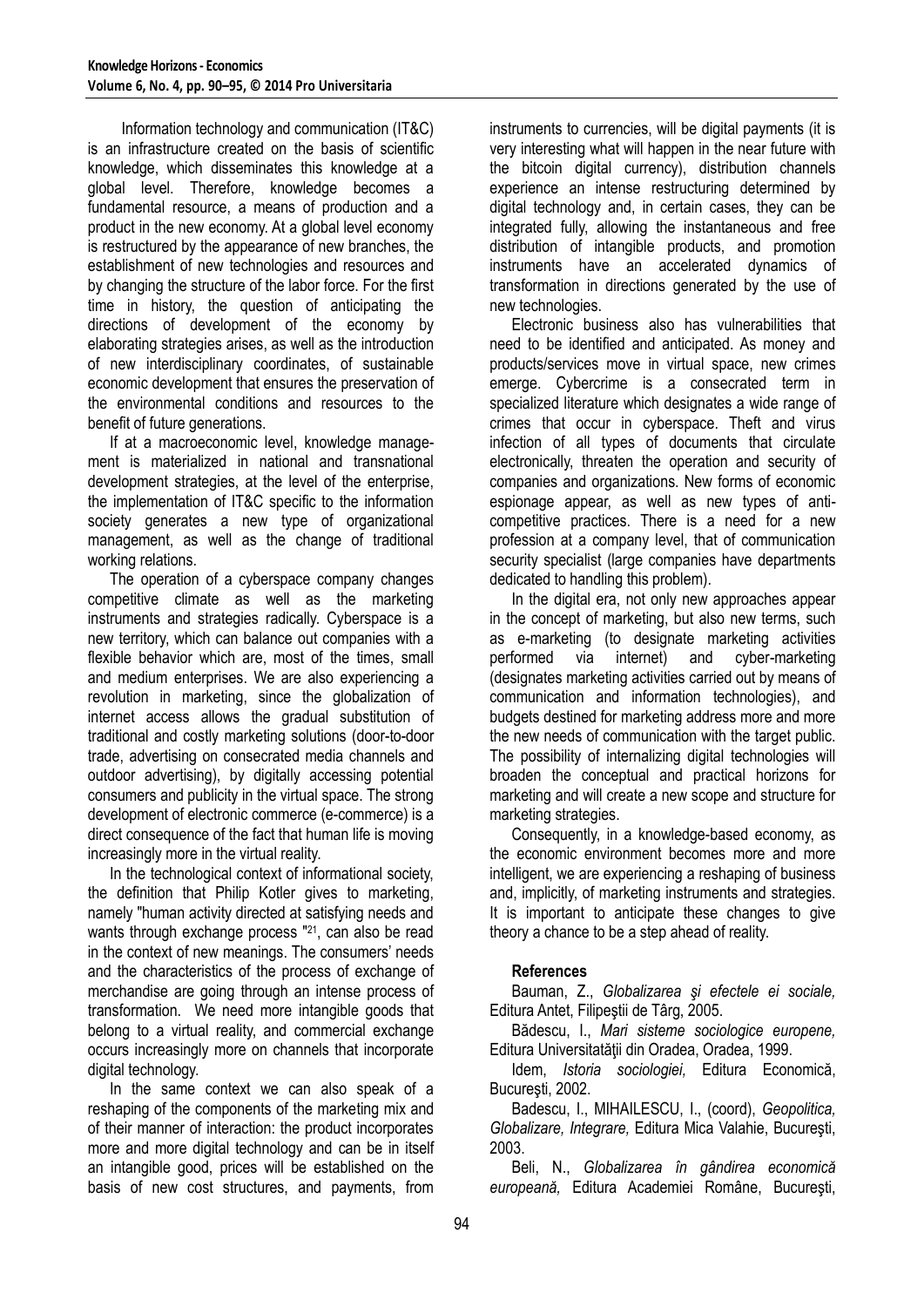Information technology and communication (IT&C) is an infrastructure created on the basis of scientific knowledge, which disseminates this knowledge at a global level. Therefore, knowledge becomes a fundamental resource, a means of production and a product in the new economy. At a global level economy is restructured by the appearance of new branches, the establishment of new technologies and resources and by changing the structure of the labor force. For the first time in history, the question of anticipating the directions of development of the economy by elaborating strategies arises, as well as the introduction of new interdisciplinary coordinates, of sustainable economic development that ensures the preservation of the environmental conditions and resources to the benefit of future generations.

If at a macroeconomic level, knowledge management is materialized in national and transnational development strategies, at the level of the enterprise, the implementation of IT&C specific to the information society generates a new type of organizational management, as well as the change of traditional working relations.

The operation of a cyberspace company changes competitive climate as well as the marketing instruments and strategies radically. Cyberspace is a new territory, which can balance out companies with a flexible behavior which are, most of the times, small and medium enterprises. We are also experiencing a revolution in marketing, since the globalization of internet access allows the gradual substitution of traditional and costly marketing solutions (door-to-door trade, advertising on consecrated media channels and outdoor advertising), by digitally accessing potential consumers and publicity in the virtual space. The strong development of electronic commerce (e-commerce) is a direct consequence of the fact that human life is moving increasingly more in the virtual reality.

In the technological context of informational society, the definition that Philip Kotler gives to marketing, namely "human activity directed at satisfying needs and wants through exchange process "21, can also be read in the context of new meanings. The consumers' needs and the characteristics of the process of exchange of merchandise are going through an intense process of transformation. We need more intangible goods that belong to a virtual reality, and commercial exchange occurs increasingly more on channels that incorporate digital technology.

In the same context we can also speak of a reshaping of the components of the marketing mix and of their manner of interaction: the product incorporates more and more digital technology and can be in itself an intangible good, prices will be established on the basis of new cost structures, and payments, from

instruments to currencies, will be digital payments (it is very interesting what will happen in the near future with the bitcoin digital currency), distribution channels experience an intense restructuring determined by digital technology and, in certain cases, they can be integrated fully, allowing the instantaneous and free distribution of intangible products, and promotion instruments have an accelerated dynamics of transformation in directions generated by the use of new technologies.

Electronic business also has vulnerabilities that need to be identified and anticipated. As money and products/services move in virtual space, new crimes emerge. Cybercrime is a consecrated term in specialized literature which designates a wide range of crimes that occur in cyberspace. Theft and virus infection of all types of documents that circulate electronically, threaten the operation and security of companies and organizations. New forms of economic espionage appear, as well as new types of anticompetitive practices. There is a need for a new profession at a company level, that of communication security specialist (large companies have departments dedicated to handling this problem).

In the digital era, not only new approaches appear in the concept of marketing, but also new terms, such as e-marketing (to designate marketing activities performed via internet) and cyber-marketing (designates marketing activities carried out by means of communication and information technologies), and budgets destined for marketing address more and more the new needs of communication with the target public. The possibility of internalizing digital technologies will broaden the conceptual and practical horizons for marketing and will create a new scope and structure for marketing strategies.

Consequently, in a knowledge-based economy, as the economic environment becomes more and more intelligent, we are experiencing a reshaping of business and, implicitly, of marketing instruments and strategies. It is important to anticipate these changes to give theory a chance to be a step ahead of reality.

#### **References**

Bauman, Z., *Globalizarea şi efectele ei sociale,*  Editura Antet, Filipeştii de Târg, 2005.

Bădescu, I., *Mari sisteme sociologice europene,*  Editura Universitatății din Oradea, Oradea, 1999.

Idem, *Istoria sociologiei,* Editura Economică, Bucureşti, 2002.

Badescu, I., MIHAILESCU, I., (coord), *Geopolitica, Globalizare, Integrare,* Editura Mica Valahie, Bucureşti, 2003.

Beli, N., *Globalizarea în gândirea economică europeană,* Editura Academiei Române, Bucureşti,